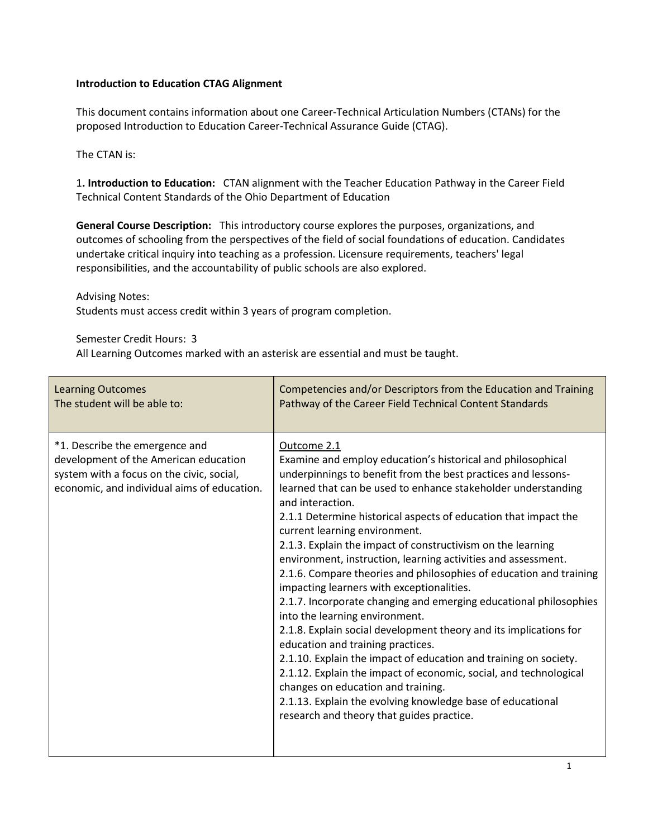## **Introduction to Education CTAG Alignment**

This document contains information about one Career-Technical Articulation Numbers (CTANs) for the proposed Introduction to Education Career-Technical Assurance Guide (CTAG).

The CTAN is:

1**. Introduction to Education:** CTAN alignment with the Teacher Education Pathway in the Career Field Technical Content Standards of the Ohio Department of Education

**General Course Description:** This introductory course explores the purposes, organizations, and outcomes of schooling from the perspectives of the field of social foundations of education. Candidates undertake critical inquiry into teaching as a profession. Licensure requirements, teachers' legal responsibilities, and the accountability of public schools are also explored.

Advising Notes:

Students must access credit within 3 years of program completion.

Semester Credit Hours: 3

All Learning Outcomes marked with an asterisk are essential and must be taught.

| <b>Learning Outcomes</b>                                                                                                                                            | Competencies and/or Descriptors from the Education and Training                                                                                                                                                                                                                                                                                                                                                                                                                                                                                                                                                                                                                                                                                                                                                                                                                                                                                                                                                                                                                                    |
|---------------------------------------------------------------------------------------------------------------------------------------------------------------------|----------------------------------------------------------------------------------------------------------------------------------------------------------------------------------------------------------------------------------------------------------------------------------------------------------------------------------------------------------------------------------------------------------------------------------------------------------------------------------------------------------------------------------------------------------------------------------------------------------------------------------------------------------------------------------------------------------------------------------------------------------------------------------------------------------------------------------------------------------------------------------------------------------------------------------------------------------------------------------------------------------------------------------------------------------------------------------------------------|
| The student will be able to:                                                                                                                                        | Pathway of the Career Field Technical Content Standards                                                                                                                                                                                                                                                                                                                                                                                                                                                                                                                                                                                                                                                                                                                                                                                                                                                                                                                                                                                                                                            |
| *1. Describe the emergence and<br>development of the American education<br>system with a focus on the civic, social,<br>economic, and individual aims of education. | Outcome 2.1<br>Examine and employ education's historical and philosophical<br>underpinnings to benefit from the best practices and lessons-<br>learned that can be used to enhance stakeholder understanding<br>and interaction.<br>2.1.1 Determine historical aspects of education that impact the<br>current learning environment.<br>2.1.3. Explain the impact of constructivism on the learning<br>environment, instruction, learning activities and assessment.<br>2.1.6. Compare theories and philosophies of education and training<br>impacting learners with exceptionalities.<br>2.1.7. Incorporate changing and emerging educational philosophies<br>into the learning environment.<br>2.1.8. Explain social development theory and its implications for<br>education and training practices.<br>2.1.10. Explain the impact of education and training on society.<br>2.1.12. Explain the impact of economic, social, and technological<br>changes on education and training.<br>2.1.13. Explain the evolving knowledge base of educational<br>research and theory that guides practice. |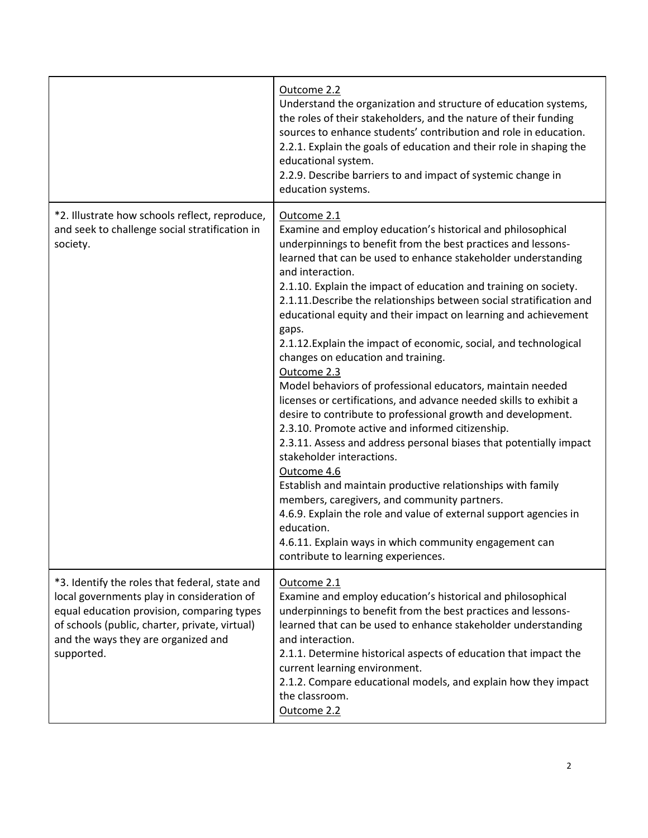|                                                                                                                                                                                                                                                   | Outcome 2.2<br>Understand the organization and structure of education systems,<br>the roles of their stakeholders, and the nature of their funding<br>sources to enhance students' contribution and role in education.<br>2.2.1. Explain the goals of education and their role in shaping the<br>educational system.<br>2.2.9. Describe barriers to and impact of systemic change in<br>education systems.                                                                                                                                                                                                                                                                                                                                                                                                                                                                                                                                                                                                                                                                                                                                                                                                                                                      |
|---------------------------------------------------------------------------------------------------------------------------------------------------------------------------------------------------------------------------------------------------|-----------------------------------------------------------------------------------------------------------------------------------------------------------------------------------------------------------------------------------------------------------------------------------------------------------------------------------------------------------------------------------------------------------------------------------------------------------------------------------------------------------------------------------------------------------------------------------------------------------------------------------------------------------------------------------------------------------------------------------------------------------------------------------------------------------------------------------------------------------------------------------------------------------------------------------------------------------------------------------------------------------------------------------------------------------------------------------------------------------------------------------------------------------------------------------------------------------------------------------------------------------------|
| *2. Illustrate how schools reflect, reproduce,<br>and seek to challenge social stratification in<br>society.                                                                                                                                      | Outcome 2.1<br>Examine and employ education's historical and philosophical<br>underpinnings to benefit from the best practices and lessons-<br>learned that can be used to enhance stakeholder understanding<br>and interaction.<br>2.1.10. Explain the impact of education and training on society.<br>2.1.11. Describe the relationships between social stratification and<br>educational equity and their impact on learning and achievement<br>gaps.<br>2.1.12. Explain the impact of economic, social, and technological<br>changes on education and training.<br>Outcome 2.3<br>Model behaviors of professional educators, maintain needed<br>licenses or certifications, and advance needed skills to exhibit a<br>desire to contribute to professional growth and development.<br>2.3.10. Promote active and informed citizenship.<br>2.3.11. Assess and address personal biases that potentially impact<br>stakeholder interactions.<br>Outcome 4.6<br>Establish and maintain productive relationships with family<br>members, caregivers, and community partners.<br>4.6.9. Explain the role and value of external support agencies in<br>education.<br>4.6.11. Explain ways in which community engagement can<br>contribute to learning experiences. |
| *3. Identify the roles that federal, state and<br>local governments play in consideration of<br>equal education provision, comparing types<br>of schools (public, charter, private, virtual)<br>and the ways they are organized and<br>supported. | Outcome 2.1<br>Examine and employ education's historical and philosophical<br>underpinnings to benefit from the best practices and lessons-<br>learned that can be used to enhance stakeholder understanding<br>and interaction.<br>2.1.1. Determine historical aspects of education that impact the<br>current learning environment.<br>2.1.2. Compare educational models, and explain how they impact<br>the classroom.<br>Outcome 2.2                                                                                                                                                                                                                                                                                                                                                                                                                                                                                                                                                                                                                                                                                                                                                                                                                        |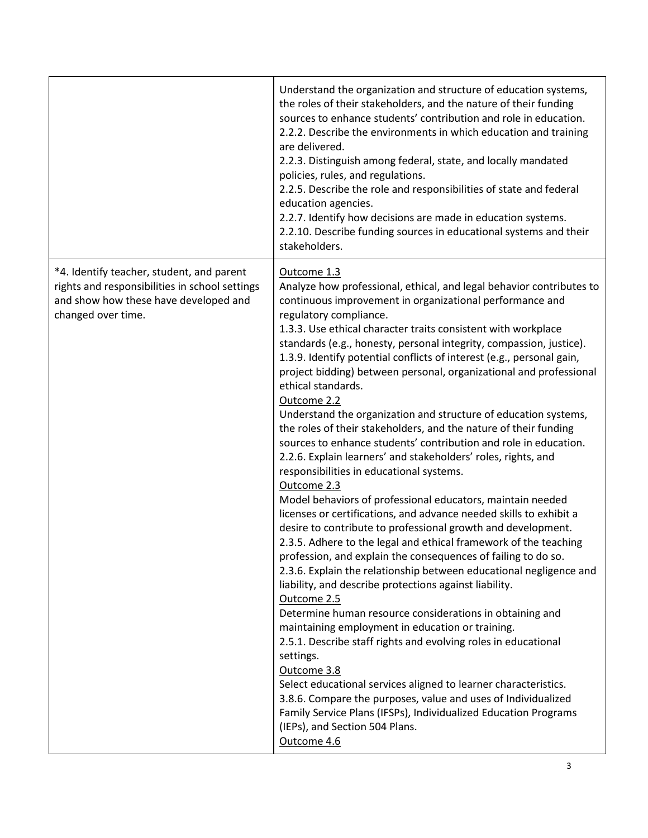|                                                                                                                                                            | Understand the organization and structure of education systems,<br>the roles of their stakeholders, and the nature of their funding<br>sources to enhance students' contribution and role in education.<br>2.2.2. Describe the environments in which education and training<br>are delivered.<br>2.2.3. Distinguish among federal, state, and locally mandated<br>policies, rules, and regulations.<br>2.2.5. Describe the role and responsibilities of state and federal<br>education agencies.<br>2.2.7. Identify how decisions are made in education systems.<br>2.2.10. Describe funding sources in educational systems and their<br>stakeholders.                                                                                                                                                                                                                                                                                                                                                                                                                                                                                                                                                                                                                                                                                                                                                                                                                                                                                                                                                                                                                                                                                                                                                     |
|------------------------------------------------------------------------------------------------------------------------------------------------------------|------------------------------------------------------------------------------------------------------------------------------------------------------------------------------------------------------------------------------------------------------------------------------------------------------------------------------------------------------------------------------------------------------------------------------------------------------------------------------------------------------------------------------------------------------------------------------------------------------------------------------------------------------------------------------------------------------------------------------------------------------------------------------------------------------------------------------------------------------------------------------------------------------------------------------------------------------------------------------------------------------------------------------------------------------------------------------------------------------------------------------------------------------------------------------------------------------------------------------------------------------------------------------------------------------------------------------------------------------------------------------------------------------------------------------------------------------------------------------------------------------------------------------------------------------------------------------------------------------------------------------------------------------------------------------------------------------------------------------------------------------------------------------------------------------------|
| *4. Identify teacher, student, and parent<br>rights and responsibilities in school settings<br>and show how these have developed and<br>changed over time. | Outcome 1.3<br>Analyze how professional, ethical, and legal behavior contributes to<br>continuous improvement in organizational performance and<br>regulatory compliance.<br>1.3.3. Use ethical character traits consistent with workplace<br>standards (e.g., honesty, personal integrity, compassion, justice).<br>1.3.9. Identify potential conflicts of interest (e.g., personal gain,<br>project bidding) between personal, organizational and professional<br>ethical standards.<br>Outcome 2.2<br>Understand the organization and structure of education systems,<br>the roles of their stakeholders, and the nature of their funding<br>sources to enhance students' contribution and role in education.<br>2.2.6. Explain learners' and stakeholders' roles, rights, and<br>responsibilities in educational systems.<br>Outcome 2.3<br>Model behaviors of professional educators, maintain needed<br>licenses or certifications, and advance needed skills to exhibit a<br>desire to contribute to professional growth and development.<br>2.3.5. Adhere to the legal and ethical framework of the teaching<br>profession, and explain the consequences of failing to do so.<br>2.3.6. Explain the relationship between educational negligence and<br>liability, and describe protections against liability.<br>Outcome 2.5<br>Determine human resource considerations in obtaining and<br>maintaining employment in education or training.<br>2.5.1. Describe staff rights and evolving roles in educational<br>settings.<br>Outcome 3.8<br>Select educational services aligned to learner characteristics.<br>3.8.6. Compare the purposes, value and uses of Individualized<br>Family Service Plans (IFSPs), Individualized Education Programs<br>(IEPs), and Section 504 Plans.<br>Outcome 4.6 |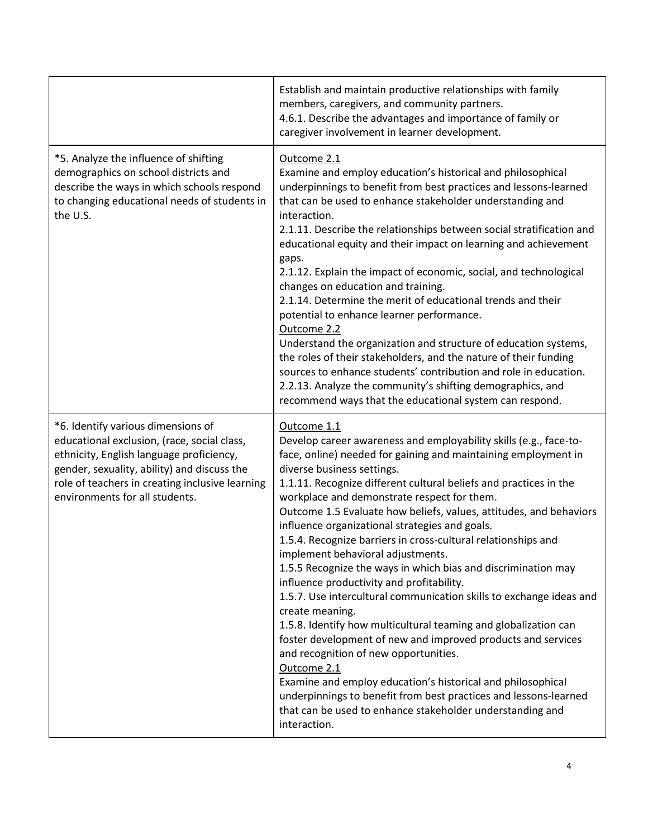|                                                                                                                                                                                                                                                                   | Establish and maintain productive relationships with family<br>members, caregivers, and community partners.<br>4.6.1. Describe the advantages and importance of family or<br>caregiver involvement in learner development.                                                                                                                                                                                                                                                                                                                                                                                                                                                                                                                                                                                                                                                                                                                                                                                                                                                                                                                            |
|-------------------------------------------------------------------------------------------------------------------------------------------------------------------------------------------------------------------------------------------------------------------|-------------------------------------------------------------------------------------------------------------------------------------------------------------------------------------------------------------------------------------------------------------------------------------------------------------------------------------------------------------------------------------------------------------------------------------------------------------------------------------------------------------------------------------------------------------------------------------------------------------------------------------------------------------------------------------------------------------------------------------------------------------------------------------------------------------------------------------------------------------------------------------------------------------------------------------------------------------------------------------------------------------------------------------------------------------------------------------------------------------------------------------------------------|
| *5. Analyze the influence of shifting<br>demographics on school districts and<br>describe the ways in which schools respond<br>to changing educational needs of students in<br>the U.S.                                                                           | Outcome 2.1<br>Examine and employ education's historical and philosophical<br>underpinnings to benefit from best practices and lessons-learned<br>that can be used to enhance stakeholder understanding and<br>interaction.<br>2.1.11. Describe the relationships between social stratification and<br>educational equity and their impact on learning and achievement<br>gaps.<br>2.1.12. Explain the impact of economic, social, and technological<br>changes on education and training.<br>2.1.14. Determine the merit of educational trends and their<br>potential to enhance learner performance.<br>Outcome 2.2<br>Understand the organization and structure of education systems,<br>the roles of their stakeholders, and the nature of their funding<br>sources to enhance students' contribution and role in education.<br>2.2.13. Analyze the community's shifting demographics, and<br>recommend ways that the educational system can respond.                                                                                                                                                                                             |
| *6. Identify various dimensions of<br>educational exclusion, (race, social class,<br>ethnicity, English language proficiency,<br>gender, sexuality, ability) and discuss the<br>role of teachers in creating inclusive learning<br>environments for all students. | Outcome 1.1<br>Develop career awareness and employability skills (e.g., face-to-<br>face, online) needed for gaining and maintaining employment in<br>diverse business settings.<br>1.1.11. Recognize different cultural beliefs and practices in the<br>workplace and demonstrate respect for them.<br>Outcome 1.5 Evaluate how beliefs, values, attitudes, and behaviors<br>influence organizational strategies and goals.<br>1.5.4. Recognize barriers in cross-cultural relationships and<br>implement behavioral adjustments.<br>1.5.5 Recognize the ways in which bias and discrimination may<br>influence productivity and profitability.<br>1.5.7. Use intercultural communication skills to exchange ideas and<br>create meaning.<br>1.5.8. Identify how multicultural teaming and globalization can<br>foster development of new and improved products and services<br>and recognition of new opportunities.<br>Outcome 2.1<br>Examine and employ education's historical and philosophical<br>underpinnings to benefit from best practices and lessons-learned<br>that can be used to enhance stakeholder understanding and<br>interaction. |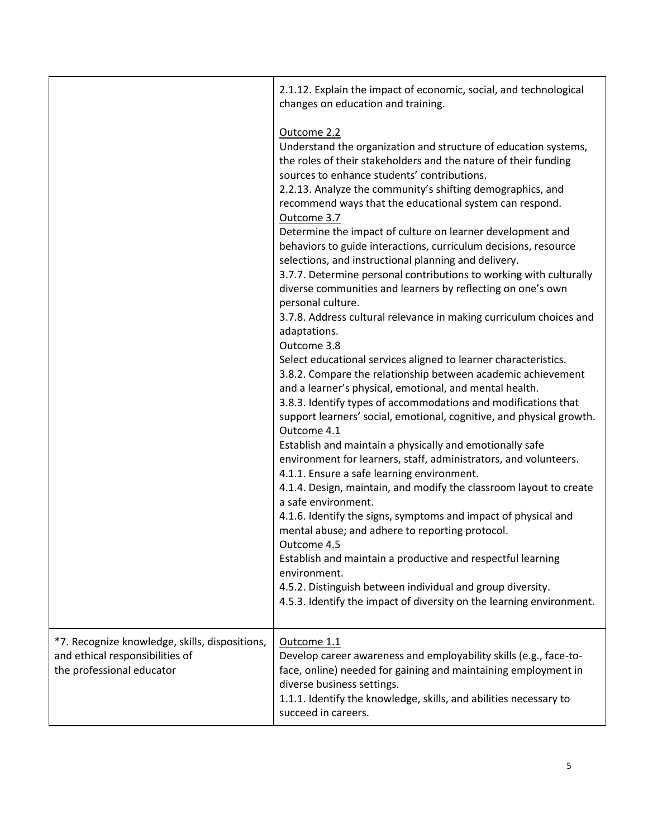|                                                                                                                | 2.1.12. Explain the impact of economic, social, and technological<br>changes on education and training.                                                                                                                                                                                                                                                                                                                                                                                                                                                                                                                                                                                                                                                                                                                                                                                                                                                                                                                                                                                                                                                                                                                                                                                                                                                                                                                                                                                                                                                                                                                                                                                                                                                                                     |
|----------------------------------------------------------------------------------------------------------------|---------------------------------------------------------------------------------------------------------------------------------------------------------------------------------------------------------------------------------------------------------------------------------------------------------------------------------------------------------------------------------------------------------------------------------------------------------------------------------------------------------------------------------------------------------------------------------------------------------------------------------------------------------------------------------------------------------------------------------------------------------------------------------------------------------------------------------------------------------------------------------------------------------------------------------------------------------------------------------------------------------------------------------------------------------------------------------------------------------------------------------------------------------------------------------------------------------------------------------------------------------------------------------------------------------------------------------------------------------------------------------------------------------------------------------------------------------------------------------------------------------------------------------------------------------------------------------------------------------------------------------------------------------------------------------------------------------------------------------------------------------------------------------------------|
|                                                                                                                | Outcome 2.2<br>Understand the organization and structure of education systems,<br>the roles of their stakeholders and the nature of their funding<br>sources to enhance students' contributions.<br>2.2.13. Analyze the community's shifting demographics, and<br>recommend ways that the educational system can respond.<br>Outcome 3.7<br>Determine the impact of culture on learner development and<br>behaviors to guide interactions, curriculum decisions, resource<br>selections, and instructional planning and delivery.<br>3.7.7. Determine personal contributions to working with culturally<br>diverse communities and learners by reflecting on one's own<br>personal culture.<br>3.7.8. Address cultural relevance in making curriculum choices and<br>adaptations.<br>Outcome 3.8<br>Select educational services aligned to learner characteristics.<br>3.8.2. Compare the relationship between academic achievement<br>and a learner's physical, emotional, and mental health.<br>3.8.3. Identify types of accommodations and modifications that<br>support learners' social, emotional, cognitive, and physical growth.<br>Outcome 4.1<br>Establish and maintain a physically and emotionally safe<br>environment for learners, staff, administrators, and volunteers.<br>4.1.1. Ensure a safe learning environment.<br>4.1.4. Design, maintain, and modify the classroom layout to create<br>a safe environment.<br>4.1.6. Identify the signs, symptoms and impact of physical and<br>mental abuse; and adhere to reporting protocol.<br>Outcome 4.5<br>Establish and maintain a productive and respectful learning<br>environment.<br>4.5.2. Distinguish between individual and group diversity.<br>4.5.3. Identify the impact of diversity on the learning environment. |
| *7. Recognize knowledge, skills, dispositions,<br>and ethical responsibilities of<br>the professional educator | Outcome 1.1<br>Develop career awareness and employability skills (e.g., face-to-<br>face, online) needed for gaining and maintaining employment in<br>diverse business settings.<br>1.1.1. Identify the knowledge, skills, and abilities necessary to<br>succeed in careers.                                                                                                                                                                                                                                                                                                                                                                                                                                                                                                                                                                                                                                                                                                                                                                                                                                                                                                                                                                                                                                                                                                                                                                                                                                                                                                                                                                                                                                                                                                                |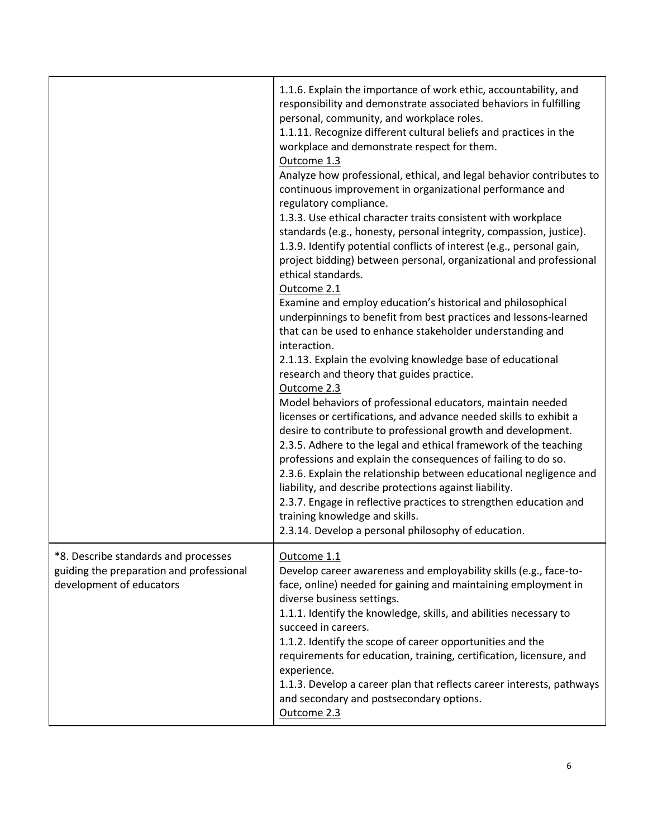|                                                                                                              | 1.1.6. Explain the importance of work ethic, accountability, and<br>responsibility and demonstrate associated behaviors in fulfilling<br>personal, community, and workplace roles.<br>1.1.11. Recognize different cultural beliefs and practices in the<br>workplace and demonstrate respect for them.<br>Outcome 1.3<br>Analyze how professional, ethical, and legal behavior contributes to<br>continuous improvement in organizational performance and<br>regulatory compliance.<br>1.3.3. Use ethical character traits consistent with workplace<br>standards (e.g., honesty, personal integrity, compassion, justice).<br>1.3.9. Identify potential conflicts of interest (e.g., personal gain,<br>project bidding) between personal, organizational and professional<br>ethical standards.<br>Outcome 2.1<br>Examine and employ education's historical and philosophical<br>underpinnings to benefit from best practices and lessons-learned<br>that can be used to enhance stakeholder understanding and<br>interaction.<br>2.1.13. Explain the evolving knowledge base of educational<br>research and theory that guides practice.<br>Outcome 2.3<br>Model behaviors of professional educators, maintain needed<br>licenses or certifications, and advance needed skills to exhibit a<br>desire to contribute to professional growth and development.<br>2.3.5. Adhere to the legal and ethical framework of the teaching<br>professions and explain the consequences of failing to do so.<br>2.3.6. Explain the relationship between educational negligence and<br>liability, and describe protections against liability.<br>2.3.7. Engage in reflective practices to strengthen education and<br>training knowledge and skills.<br>2.3.14. Develop a personal philosophy of education. |
|--------------------------------------------------------------------------------------------------------------|--------------------------------------------------------------------------------------------------------------------------------------------------------------------------------------------------------------------------------------------------------------------------------------------------------------------------------------------------------------------------------------------------------------------------------------------------------------------------------------------------------------------------------------------------------------------------------------------------------------------------------------------------------------------------------------------------------------------------------------------------------------------------------------------------------------------------------------------------------------------------------------------------------------------------------------------------------------------------------------------------------------------------------------------------------------------------------------------------------------------------------------------------------------------------------------------------------------------------------------------------------------------------------------------------------------------------------------------------------------------------------------------------------------------------------------------------------------------------------------------------------------------------------------------------------------------------------------------------------------------------------------------------------------------------------------------------------------------------------------------------------------------------------------------------|
| *8. Describe standards and processes<br>guiding the preparation and professional<br>development of educators | Outcome 1.1<br>Develop career awareness and employability skills (e.g., face-to-<br>face, online) needed for gaining and maintaining employment in<br>diverse business settings.<br>1.1.1. Identify the knowledge, skills, and abilities necessary to<br>succeed in careers.<br>1.1.2. Identify the scope of career opportunities and the<br>requirements for education, training, certification, licensure, and<br>experience.<br>1.1.3. Develop a career plan that reflects career interests, pathways<br>and secondary and postsecondary options.<br>Outcome 2.3                                                                                                                                                                                                                                                                                                                                                                                                                                                                                                                                                                                                                                                                                                                                                                                                                                                                                                                                                                                                                                                                                                                                                                                                                              |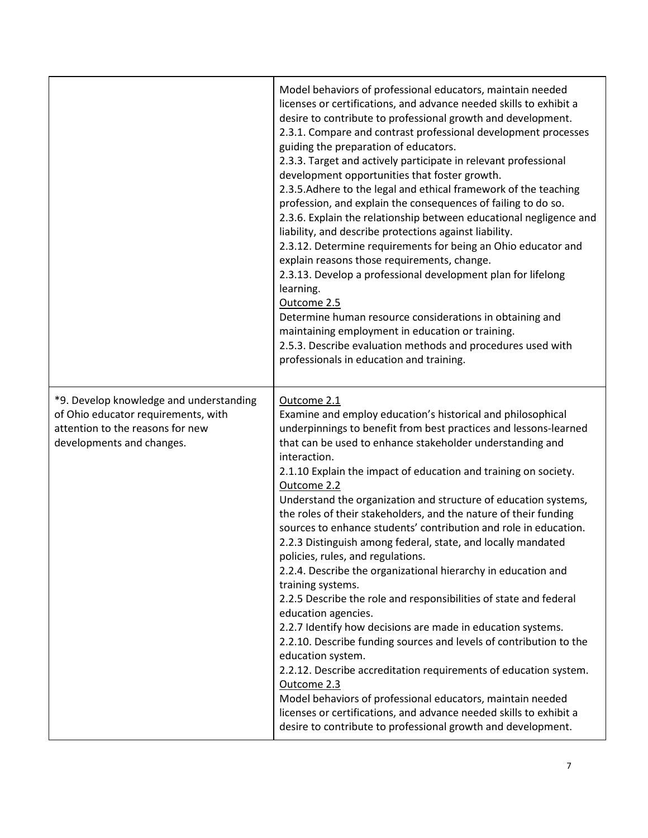|                                                                                                                                                 | Model behaviors of professional educators, maintain needed<br>licenses or certifications, and advance needed skills to exhibit a<br>desire to contribute to professional growth and development.<br>2.3.1. Compare and contrast professional development processes<br>guiding the preparation of educators.<br>2.3.3. Target and actively participate in relevant professional<br>development opportunities that foster growth.<br>2.3.5. Adhere to the legal and ethical framework of the teaching<br>profession, and explain the consequences of failing to do so.<br>2.3.6. Explain the relationship between educational negligence and<br>liability, and describe protections against liability.<br>2.3.12. Determine requirements for being an Ohio educator and<br>explain reasons those requirements, change.<br>2.3.13. Develop a professional development plan for lifelong<br>learning.<br>Outcome 2.5<br>Determine human resource considerations in obtaining and<br>maintaining employment in education or training.<br>2.5.3. Describe evaluation methods and procedures used with<br>professionals in education and training.                                                                                                                      |
|-------------------------------------------------------------------------------------------------------------------------------------------------|------------------------------------------------------------------------------------------------------------------------------------------------------------------------------------------------------------------------------------------------------------------------------------------------------------------------------------------------------------------------------------------------------------------------------------------------------------------------------------------------------------------------------------------------------------------------------------------------------------------------------------------------------------------------------------------------------------------------------------------------------------------------------------------------------------------------------------------------------------------------------------------------------------------------------------------------------------------------------------------------------------------------------------------------------------------------------------------------------------------------------------------------------------------------------------------------------------------------------------------------------------------|
| *9. Develop knowledge and understanding<br>of Ohio educator requirements, with<br>attention to the reasons for new<br>developments and changes. | Outcome 2.1<br>Examine and employ education's historical and philosophical<br>underpinnings to benefit from best practices and lessons-learned<br>that can be used to enhance stakeholder understanding and<br>interaction.<br>2.1.10 Explain the impact of education and training on society.<br>Outcome 2.2<br>Understand the organization and structure of education systems,<br>the roles of their stakeholders, and the nature of their funding<br>sources to enhance students' contribution and role in education.<br>2.2.3 Distinguish among federal, state, and locally mandated<br>policies, rules, and regulations.<br>2.2.4. Describe the organizational hierarchy in education and<br>training systems.<br>2.2.5 Describe the role and responsibilities of state and federal<br>education agencies.<br>2.2.7 Identify how decisions are made in education systems.<br>2.2.10. Describe funding sources and levels of contribution to the<br>education system.<br>2.2.12. Describe accreditation requirements of education system.<br>Outcome 2.3<br>Model behaviors of professional educators, maintain needed<br>licenses or certifications, and advance needed skills to exhibit a<br>desire to contribute to professional growth and development. |